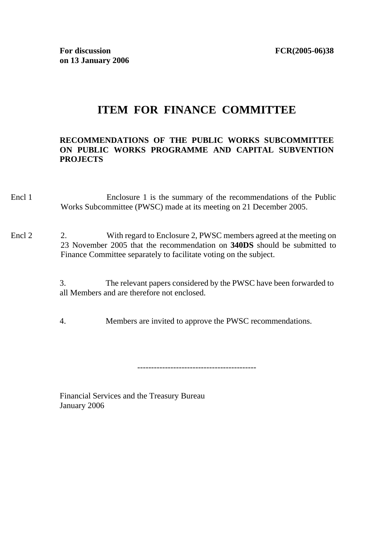## **ITEM FOR FINANCE COMMITTEE**

## **RECOMMENDATIONS OF THE PUBLIC WORKS SUBCOMMITTEE ON PUBLIC WORKS PROGRAMME AND CAPITAL SUBVENTION PROJECTS**

- Encl 1 Enclosure 1 is the summary of the recommendations of the Public Works Subcommittee (PWSC) made at its meeting on 21 December 2005.
- Encl 2 2. With regard to Enclosure 2, PWSC members agreed at the meeting on 23 November 2005 that the recommendation on **340DS** should be submitted to Finance Committee separately to facilitate voting on the subject.

3. The relevant papers considered by the PWSC have been forwarded to all Members and are therefore not enclosed.

4. Members are invited to approve the PWSC recommendations.

-------------------------------------------

Financial Services and the Treasury Bureau January 2006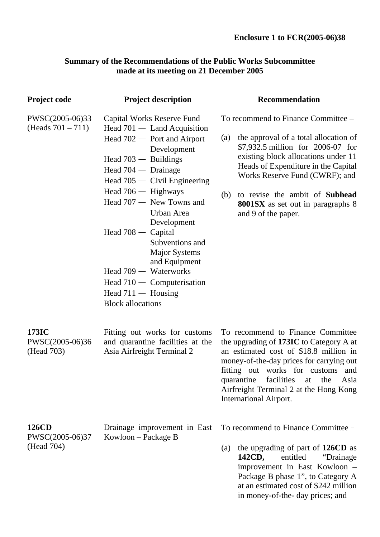## **Summary of the Recommendations of the Public Works Subcommittee made at its meeting on 21 December 2005**

| <b>Project code</b>                           | <b>Project description</b>                                                                                                                                                                                                                                                                                                                                                                                                                                                               | <b>Recommendation</b>                                                                                                                                                                                                                                                                                                                                       |  |
|-----------------------------------------------|------------------------------------------------------------------------------------------------------------------------------------------------------------------------------------------------------------------------------------------------------------------------------------------------------------------------------------------------------------------------------------------------------------------------------------------------------------------------------------------|-------------------------------------------------------------------------------------------------------------------------------------------------------------------------------------------------------------------------------------------------------------------------------------------------------------------------------------------------------------|--|
| PWSC(2005-06)33<br>(Heads $701 - 711$ )       | Capital Works Reserve Fund<br>Head $701 -$ Land Acquisition<br>Head $702 -$ Port and Airport<br>Development<br>Head $703 -$ Buildings<br>Head $704 -$ Drainage<br>Head $705 -$ Civil Engineering<br>Head $706 -$ Highways<br>Head $707 -$ New Towns and<br>Urban Area<br>Development<br>Head $708 -$ Capital<br>Subventions and<br><b>Major Systems</b><br>and Equipment<br>Head $709 - W$ aterworks<br>Head $710 -$ Computerisation<br>Head $711 -$ Housing<br><b>Block allocations</b> | To recommend to Finance Committee –<br>the approval of a total allocation of<br>(a)<br>\$7,932.5 million for 2006-07 for<br>existing block allocations under 11<br>Heads of Expenditure in the Capital<br>Works Reserve Fund (CWRF); and<br>to revise the ambit of <b>Subhead</b><br>(b)<br><b>8001SX</b> as set out in paragraphs 8<br>and 9 of the paper. |  |
| 173IC<br>PWSC(2005-06)36<br>(Head 703)        | Fitting out works for customs<br>and quarantine facilities at the<br>Asia Airfreight Terminal 2                                                                                                                                                                                                                                                                                                                                                                                          | To recommend to Finance Committee<br>the upgrading of 173IC to Category A at<br>an estimated cost of \$18.8 million in<br>money-of-the-day prices for carrying out<br>fitting out works for customs and<br>quarantine facilities at the Asia<br>Airfreight Terminal 2 at the Hong Kong<br><b>International Airport.</b>                                     |  |
| <b>126CD</b><br>PWSC(2005-06)37<br>(Head 704) | Drainage improvement in East<br>Kowloon – Package B                                                                                                                                                                                                                                                                                                                                                                                                                                      | To recommend to Finance Committee -<br>the upgrading of part of 126CD as<br>(a)<br>142CD,<br>entitled<br>"Drainage"<br>improvement in East Kowloon -<br>Package B phase 1", to Category A<br>at an estimated cost of \$242 million<br>in money-of-the- day prices; and                                                                                      |  |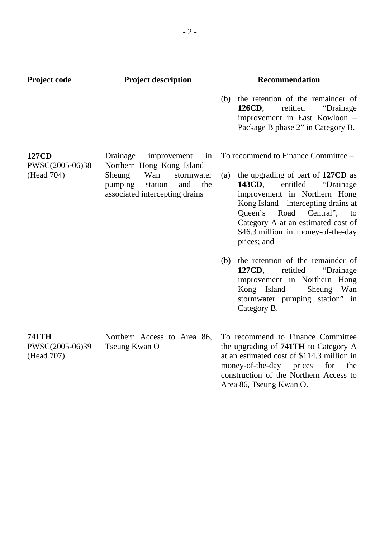| <b>Project code</b>                           | <b>Project description</b>                                                                                                                                        | <b>Recommendation</b>                                                                                                                                                                                                                                                           |
|-----------------------------------------------|-------------------------------------------------------------------------------------------------------------------------------------------------------------------|---------------------------------------------------------------------------------------------------------------------------------------------------------------------------------------------------------------------------------------------------------------------------------|
|                                               |                                                                                                                                                                   | (b) the retention of the remainder of<br>126CD,<br>retitled<br>"Drainage"<br>improvement in East Kowloon -<br>Package B phase 2" in Category B.                                                                                                                                 |
| <b>127CD</b><br>PWSC(2005-06)38<br>(Head 704) | Drainage<br>improvement<br>in<br>Northern Hong Kong Island -<br>Sheung<br>Wan<br>stormwater<br>pumping<br>station<br>and<br>the<br>associated intercepting drains | To recommend to Finance Committee –                                                                                                                                                                                                                                             |
|                                               |                                                                                                                                                                   | (a) the upgrading of part of 127CD as<br>143CD,<br>entitled<br>"Drainage"<br>improvement in Northern Hong<br>Kong Island – intercepting drains at<br>Queen's Road<br>Central",<br>to<br>Category A at an estimated cost of<br>\$46.3 million in money-of-the-day<br>prices; and |
|                                               |                                                                                                                                                                   | (b) the retention of the remainder of<br>127CD,<br>retitled<br>"Drainage"<br>improvement in Northern Hong<br>Kong Island – Sheung Wan<br>stormwater pumping station" in<br>Category B.                                                                                          |
| <b>741TH</b><br>PWSC(2005-06)39<br>(Head 707) | Northern Access to Area 86,<br>Tseung Kwan O                                                                                                                      | To recommend to Finance Committee<br>the upgrading of <b>741TH</b> to Category A<br>at an estimated cost of \$114.3 million in<br>money-of-the-day prices<br>for<br>the<br>construction of the Northern Access to<br>Area 86, Tseung Kwan O.                                    |